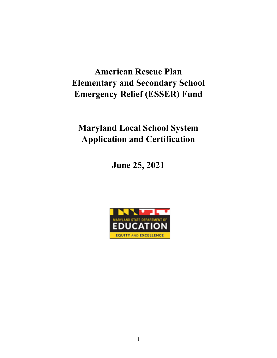# **American Rescue Plan Elementary and Secondary School Emergency Relief (ESSER) Fund**

# **Maryland Local School System Application and Certification**

**June 25, 2021**

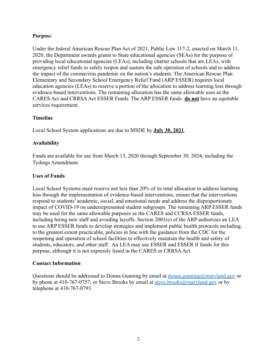### **Purpos**e

Under the federal American Rescue Plan Act of 2021, Public Law 117-2, enacted on March 11, 2020, the Department awards grants to State educational agencies (SEAs) for the purpose of providing local educational agencies (LEAs), including charter schools that are LEAs, with emergency relief funds to safely reopen and sustain the safe operation of schools and to address the impact of the coronavirus pandemic on the nation's students. The American Rescue Plan Elementary and Secondary School Emergency Relief Fund (ARP ESSER) requires local education agencies (LEAs) to reserve a portion of the allocation to address learning loss through evidence-based interventions. The remaining allocation has the same allowable uses as the CARES Act and CRRSA Act ESSER Funds. The ARP ESSER funds **do not** have an equitable services requirement.

### **Timeline**

Local School System applications are due to MSDE by **July 30, 2021**.

### **Availability**

Funds are available for use from March 13, 2020 through September 30, 2024, including the Tydings Amendment.

### **Uses of Funds**

Local School Systems must reserve not less than 20% of its total allocation to address learning loss through the implementation of evidence-based interventions, ensure that the interventions respond to students' academic, social, and emotional needs and address the disproportionate impact of COVID-19 on underrepresented student subgroups. The remaining ARP ESSER funds may be used for the same allowable purposes as the CARES and CCRSA ESSER funds, including hiring new staff and avoiding layoffs. Section 2001(e) of the ARP authorizes an LEA to use ARP ESSER funds to develop strategies and implement public health protocols including, to the greatest extent practicable, policies in line with the guidance from the CDC for the reopening and operation of school facilities to effectively maintain the health and safety of students, educators, and other staff. An LEA may use ESSER and ESSER II funds for this purpose, although it is not expressly listed in the CARES or CRRSA Act.

#### **Contact Information**

Questions should be addressed to Donna Gunning by email at <u>donna gunning@maryland.gov</u> or by phone at 410-767-0757; or Steve Brooks by email at [steve.brooks@maryland.gov](mailto:steve.brooks@maryland.gov) or by telephone at 410-767-0793.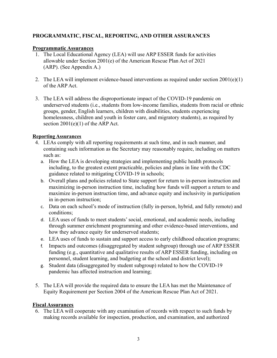# **PROGRAMMATIC, FISCAL, REPORTING, AND OTHER ASSURANCES**

## **Programmatic Assurances**

- 1. The Local Educational Agency (LEA) will use ARP ESSER funds for activities allowable under Section 2001(e) of the American Rescue Plan Act of 2021 (ARP). (See Appendix A.)
- 2. The LEA will implement evidence-based interventions as required under section 2001(e)(1) of the ARP Act.
- 3. The LEA will address the disproportionate impact of the COVID-19 pandemic on underserved students (i.e., students from low-income families, students from racial or ethnic groups, gender, English learners, children with disabilities, students experiencing homelessness, children and youth in foster care, and migratory students), as required by section  $2001(e)(1)$  of the ARP Act.

## **Reporting Assurances**

- 4. LEAs comply with all reporting requirements at such time, and in such manner, and containing such information as the Secretary may reasonably require, including on matters such as:
	- a. How the LEA is developing strategies and implementing public health protocols including, to the greatest extent practicable, policies and plans in line with the CDC guidance related to mitigating COVID-19 in schools;
	- b. Overall plans and policies related to State support for return to in-person instruction and maximizing in-person instruction time, including how funds will support a return to and maximize in-person instruction time, and advance equity and inclusivity in participation in in-person instruction;
	- c. Data on each school's mode of instruction (fully in-person, hybrid, and fully remote) and conditions;
	- d. LEA uses of funds to meet students' social, emotional, and academic needs, including through summer enrichment programming and other evidence-based interventions, and how they advance equity for underserved students;
	- e. LEA uses of funds to sustain and support access to early childhood education programs;
	- f. Impacts and outcomes (disaggregated by student subgroup) through use of ARP ESSER funding (e.g., quantitative and qualitative results of ARP ESSER funding, including on personnel, student learning, and budgeting at the school and district level);
	- g. Student data (disaggregated by student subgroup) related to how the COVID-19 pandemic has affected instruction and learning;
- 5. The LEA will provide the required data to ensure the LEA has met the Maintenance of Equity Requirement per Section 2004 of the American Rescue Plan Act of 2021.

## **Fiscal Assurances**

6. The LEA will cooperate with any examination of records with respect to such funds by making records available for inspection, production, and examination, and authorized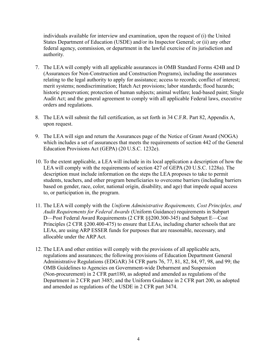individuals available for interview and examination, upon the request of (i) the United States Department of Education (USDE) and/or its Inspector General; or (ii) any other federal agency, commission, or department in the lawful exercise of its jurisdiction and authority.

- 7. The LEA will comply with all applicable assurances in OMB Standard Forms 424B and D (Assurances for Non-Construction and Construction Programs), including the assurances relating to the legal authority to apply for assistance; access to records; conflict of interest; merit systems; nondiscrimination; Hatch Act provisions; labor standards; flood hazards; historic preservation; protection of human subjects; animal welfare; lead-based paint; Single Audit Act; and the general agreement to comply with all applicable Federal laws, executive orders and regulations.
- 8. The LEA will submit the full certification, as set forth in 34 C.F.R. Part 82, Appendix A, upon request.
- 9. The LEA will sign and return the Assurances page of the Notice of Grant Award (NOGA) which includes a set of assurances that meets the requirements of section 442 of the General Education Provisions Act (GEPA) (20 U.S.C. 1232e).
- 10. To the extent applicable, a LEA will include in its local application a description of how the LEA will comply with the requirements of section 427 of GEPA (20 U.S.C. 1228a). The description must include information on the steps the LEA proposes to take to permit students, teachers, and other program beneficiaries to overcome barriers (including barriers based on gender, race, color, national origin, disability, and age) that impede equal access to, or participation in, the program.
- 11. The LEA will comply with the *Uniform Administrative Requirements, Cost Principles, and Audit Requirements for Federal Awards* (Uniform Guidance) requirements in Subpart D—Post Federal Award Requirements (2 CFR §§200.300-345) and Subpart E—Cost Principles (2 CFR §200.400-475) to ensure that LEAs, including charter schools that are LEAs, are using ARP ESSER funds for purposes that are reasonable, necessary, and allocable under the ARP Act.
- 12. The LEA and other entities will comply with the provisions of all applicable acts, regulations and assurances; the following provisions of Education Department General Administrative Regulations (EDGAR) 34 CFR parts 76, 77, 81, 82, 84, 97, 98, and 99; the OMB Guidelines to Agencies on Government-wide Debarment and Suspension (Non-procurement) in 2 CFR part180, as adopted and amended as regulations of the Department in 2 CFR part 3485; and the Uniform Guidance in 2 CFR part 200, as adopted and amended as regulations of the USDE in 2 CFR part 3474.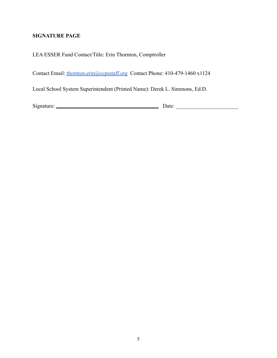# **SIGNATURE PAGE**

## LEA ESSER Fund Contact/Title: Erin Thornton, Comptroller

Contact Email: [thornton.erin@ccpsstaff.org](mailto:thornton.erin@ccpsstaff.org) Contact Phone: 410-479-1460 x1124

Local School System Superintendent (Printed Name): Derek L. Simmons, Ed.D.

Signature: Date: \_\_\_\_\_\_\_\_\_\_\_\_\_\_\_\_\_\_\_\_\_\_\_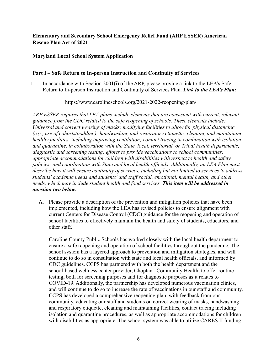# **Elementary and Secondary School Emergency Relief Fund (ARP ESSER) American Rescue Plan Act of 2021**

## **Maryland Local School System Application**

## **Part I – Safe Return to In-person Instruction and Continuity of Services**

1. In accordance with Section 2001(i) of the ARP, please provide a link to the LEA's Safe Return to In-person Instruction and Continuity of Services Plan. *Link to the LEA's Plan:*

https://www.carolineschools.org/2021-2022-reopening-plan/

*ARP ESSER requires that LEA plans include elements that are consistent with current, relevant guidance from the CDC related to the safe reopening of schools. These elements include: Universal and correct wearing of masks; modifying facilities to allow for physical distancing (e.g., use of cohorts/podding); handwashing and respiratory etiquette; cleaning and maintaining healthy facilities, including improving ventilation; contact tracing in combination with isolation and quarantine, in collaboration with the State, local, territorial, or Tribal health departments; diagnostic and screening testing; efforts to provide vaccinations to school communities; appropriate accommodations for children with disabilities with respect to health and safety policies; and coordination with State and local health officials. Additionally, an LEA Plan must describe how it will ensure continuity of services, including but not limited to services to address students' academic needs and students' and staff social, emotional, mental health, and other needs, which may include student health and food services. This item will be addressed in question two below.*

A. Please provide a description of the prevention and mitigation policies that have been implemented, including how the LEA has revised policies to ensure alignment with current Centers for Disease Control (CDC) guidance for the reopening and operation of school facilities to effectively maintain the health and safety of students, educators, and other staff.

Caroline County Public Schools has worked closely with the local health department to ensure a safe reopening and operation of school facilities throughout the pandemic. The school system has a layered approach to prevention and mitigation strategies, and will continue to do so in consultation with state and local health officials, and informed by CDC guidelines. CCPS has partnered with both the health department and the school-based wellness center provider, Choptank Community Health, to offer routine testing, both for screening purposes and for diagnostic purposes as it relates to COVID-19. Additionally, the partnership has developed numerous vaccination clinics, and will continue to do so to increase the rate of vaccinations in our staff and community. CCPS has developed a comprehensive reopening plan, with feedback from our community, educating our staff and students on correct wearing of masks, handwashing and respiratory etiquette, cleaning and maintaining facilities, contact tracing including isolation and quarantine procedures, as well as appropriate accommodations for children with disabilities as appropriate. The school system was able to utilize CARES II funding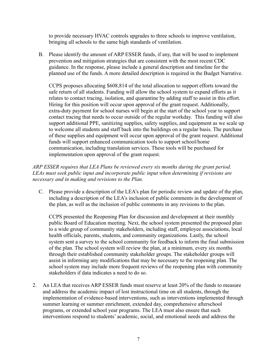to provide necessary HVAC controls upgrades to three schools to improve ventilation, bringing all schools to the same high standards of ventilation.

B. Please identify the amount of ARP ESSER funds, if any, that will be used to implement prevention and mitigation strategies that are consistent with the most recent CDC guidance. In the response, please include a general description and timeline for the planned use of the funds. A more detailed description is required in the Budget Narrative.

CCPS proposes allocating \$608,814 of the total allocation to support efforts toward the safe return of all students. Funding will allow the school system to expand efforts as it relates to contact tracing, isolation, and quarantine by adding staff to assist in this effort. Hiring for this position will occur upon approval of the grant request. Additionally, extra-duty payment for school nurses will begin at the start of the school year to support contact tracing that needs to occur outside of the regular workday. This funding will also support additional PPE, sanitizing supplies, safety supplies, and equipment as we scale up to welcome all students and staff back into the buildings on a regular basis. The purchase of these supplies and equipment will occur upon approval of the grant request. Additional funds will support enhanced communication tools to support school/home communication, including translation services. These tools will be purchased for implementation upon approval of the grant request.

## *ARP ESSER requires that LEA Plans be reviewed every six months during the grant period. LEAs must seek public input and incorporate public input when determining if revisions are necessary and in making and revisions to the Plan.*

C. Please provide a description of the LEA's plan for periodic review and update of the plan, including a description of the LEA's inclusion of public comments in the development of the plan, as well as the inclusion of public comments in any revisions to the plan.

CCPS presented the Reopening Plan for discussion and development at their monthly public Board of Education meeting. Next, the school system presented the proposed plan to a wide group of community stakeholders, including staff, employee associations, local health officials, parents, students, and community organizations. Lastly, the school system sent a survey to the school community for feedback to inform the final submission of the plan. The school system will review the plan, at a minimum, every six months through their established community stakeholder groups. The stakeholder groups will assist in informing any modifications that may be necessary to the reopening plan. The school system may include more frequent reviews of the reopening plan with community stakeholders if data indicates a need to do so.

2. An LEA that receives ARP ESSER funds must reserve at least 20% of the funds to measure and address the academic impact of lost instructional time on all students, through the implementation of evidence-based interventions, such as interventions implemented through summer learning or summer enrichment, extended day, comprehensive afterschool programs, or extended school year programs. The LEA must also ensure that such interventions respond to students' academic, social, and emotional needs and address the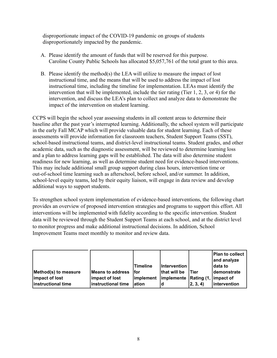disproportionate impact of the COVID-19 pandemic on groups of students disproportionately impacted by the pandemic.

- A. Please identify the amount of funds that will be reserved for this purpose. Caroline County Public Schools has allocated \$5,057,761 of the total grant to this area.
- B. Please identify the method(s) the LEA will utilize to measure the impact of lost instructional time, and the means that will be used to address the impact of lost instructional time, including the timeline for implementation. LEAs must identify the intervention that will be implemented, include the tier rating (Tier 1, 2, 3, or 4) for the intervention, and discuss the LEA's plan to collect and analyze data to demonstrate the impact of the intervention on student learning.

CCPS will begin the school year assessing students in all content areas to determine their baseline after the past year's interrupted learning. Additionally, the school system will participate in the early Fall MCAP which will provide valuable data for student learning. Each of these assessments will provide information for classroom teachers, Student Support Teams (SST), school-based instructional teams, and district-level instructional teams. Student grades, and other academic data, such as the diagnostic assessment, will be reviewed to determine learning loss and a plan to address learning gaps will be established. The data will also determine student readiness for new learning, as well as determine student need for evidence-based interventions. This may include additional small group support during class hours, intervention time or out-of-school time learning such as afterschool, before school, and/or summer. In addition, school-level equity teams, led by their equity liaison, will engage in data review and develop additional ways to support students.

To strengthen school system implementation of evidence-based interventions, the following chart provides an overview of proposed intervention strategies and programs to support this effort. All interventions will be implemented with fidelity according to the specific intervention. Student data will be reviewed through the Student Support Teams at each school, and at the district level to monitor progress and make additional instructional decisions. In addition, School Improvement Teams meet monthly to monitor and review data.

|                      |                    | lTimeline | <b>Intervention</b>                             |                   | Plan to collect<br>and analyze<br>ldata to |
|----------------------|--------------------|-----------|-------------------------------------------------|-------------------|--------------------------------------------|
| Method(s) to measure | Means to address   | lfor      | that will be                                    | l Tier            | demonstrate                                |
| impact of lost       | impact of lost     |           | implement   implemente   Rating (1,   impact of |                   |                                            |
| instructional time   | instructional time | lation    |                                                 | $ 2, 3, 4\rangle$ | <i>lintervention</i>                       |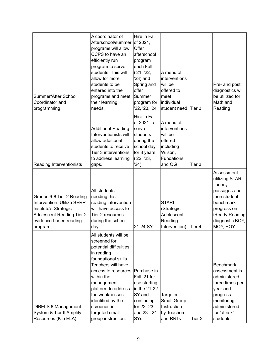| Summer/After School<br>Coordinator and<br>programming                                                                                                     | A coordinator of<br>Afterschool/summer<br>programs will allow<br>CCPS to have an<br>efficiently run<br>program to serve<br>students. This will<br>allow for more<br>students to be<br>entered into the<br>programs and meet<br>their learning<br>needs.                                                         | Hire in Fall<br>of 2021,<br>Offer<br>afterschool<br>program<br>each Fall<br>(21, 22,<br>$23)$ and<br>Spring and<br>offer<br>Summer<br>program for<br>'22, '23, '24 | A menu of<br>interventions<br>will be<br>offered to<br>meet<br>individual<br>student need               | Tier 3            | Pre- and post<br>diagnostics will<br>be utilized for<br>Math and<br>Reading                                                                             |
|-----------------------------------------------------------------------------------------------------------------------------------------------------------|-----------------------------------------------------------------------------------------------------------------------------------------------------------------------------------------------------------------------------------------------------------------------------------------------------------------|--------------------------------------------------------------------------------------------------------------------------------------------------------------------|---------------------------------------------------------------------------------------------------------|-------------------|---------------------------------------------------------------------------------------------------------------------------------------------------------|
| Reading Interventionists                                                                                                                                  | <b>Additional Reading</b><br>Interventionists will<br>allow additional<br>students to receive<br>Tier 3 interventions<br>to address learning<br>gaps.                                                                                                                                                           | Hire in Fall<br>of 2021 to<br>serve<br>students<br>during the<br>school day<br>for 3 years<br>(22, 23,<br>'24)                                                     | A menu of<br>interventions<br>will be<br>offered<br>including<br>Wilson,<br><b>Fundations</b><br>and OG | Tier <sub>3</sub> |                                                                                                                                                         |
| Grades 6-8 Tier 2 Reading<br>Intervention: Utilize SERP<br>Institute's Strategic<br><b>Adolescent Reading Tier 2</b><br>evidence-based reading<br>program | All students<br>needing this<br>reading intervention<br>will have access to<br>Tier 2 resources<br>during the school<br>day.                                                                                                                                                                                    | 21-24 SY                                                                                                                                                           | <b>STARI</b><br>(Strategic<br>Adolescent<br>Reading<br>Intervention)                                    | Tier 4            | Assessment<br>utilizing STARI<br>fluency<br>passages and<br>then student<br>benchmark<br>progress on<br>iReady Reading<br>diagnostic BOY,<br>MOY, EOY   |
| <b>DIBELS 8 Management</b><br>System & Tier II Amplify<br>Resources (K-5 ELA)                                                                             | All students will be<br>screened for<br>potential difficulties<br>in reading<br>foundational skills.<br>Teachers will have<br>access to resources Purchase in<br>within the<br>management<br>platform to address<br>the weaknesses<br>identified by the<br>screener, in<br>targeted small<br>group instruction. | Fall '21 for<br>use starting<br>in the 21-22<br>SY and<br>continuing<br>for 22 -23<br>and 23 - 24<br>SYs                                                           | Targeted<br>Small Group<br>Instruction<br>by Teachers<br>and RRTs                                       | Tier <sub>2</sub> | <b>Benchmark</b><br>assessment is<br>administered<br>three times per<br>year and<br>progress<br>monitoring<br>administered<br>for 'at risk'<br>students |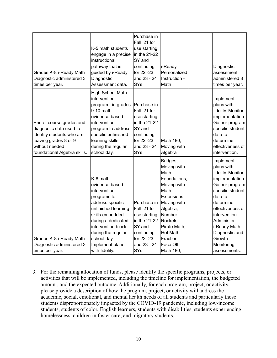| Grades K-8 i-Ready Math<br>Diagnostic administered 3<br>times per year.                                                                                     | K-5 math students<br>engage in a precise<br>instructional<br>pathway that is<br>guided by i-Ready<br>Diagnostic<br>Assessment data.                                                                                                           | Purchase in<br>Fall '21 for<br>use starting<br>in the 21-22<br>SY and<br>continuing<br>for 22 -23<br>and 23 - 24<br>SYs        | i-Ready<br>Personalized<br>Instruction -<br>Math                                                                                                                                                            | Diagnostic<br>assessment<br>administered 3<br>times per year.                                                                                                                                                                                              |
|-------------------------------------------------------------------------------------------------------------------------------------------------------------|-----------------------------------------------------------------------------------------------------------------------------------------------------------------------------------------------------------------------------------------------|--------------------------------------------------------------------------------------------------------------------------------|-------------------------------------------------------------------------------------------------------------------------------------------------------------------------------------------------------------|------------------------------------------------------------------------------------------------------------------------------------------------------------------------------------------------------------------------------------------------------------|
| End of course grades and<br>diagnostic data used to<br>identify students who are<br>leaving grades 8 or 9<br>without needed<br>foundational Algebra skills. | High School Math<br>intervention<br>program - in grades<br>9-10 math<br>evidence-based<br>intervention<br>program to address<br>specific unfinished<br>learning skills<br>during the regular<br>school day.                                   | Purchase in<br>Fall '21 for<br>use starting<br>in the 21-22<br>SY and<br>continuing<br>for 22 -23<br>and 23 - 24<br><b>SYs</b> | Math 180;<br>Moving with<br>Algebra                                                                                                                                                                         | Implement<br>plans with<br>fidelity. Monitor<br>implementation.<br>Gather program<br>specific student<br>data to<br>determine<br>effectiveness of<br>intervention.                                                                                         |
| Grades K-8 i-Ready Math<br>Diagnostic administered 3<br>times per year.                                                                                     | K-8 math<br>evidence-based<br>intervention<br>programs to<br>address specific<br>unfinished learning<br>skills embedded<br>during a dedicated<br>intervention block<br>during the regular<br>school day.<br>Implement plans<br>with fidelity. | Purchase in<br>Fall '21 for<br>use starting<br>in the 21-22<br>SY and<br>continuing<br>for 22 -23<br>and 23 - 24<br><b>SYs</b> | Bridges;<br>Moving with<br>Math:<br>Foundations;<br>Moving with<br>Math:<br>Extensions;<br>Moving with<br>Algebra;<br>Number<br>Rockets;<br>Pirate Math;<br>Hot Math;<br>Fraction<br>Face Off;<br>Math 180; | Implement<br>plans with<br>fidelity. Monitor<br>implementation.<br>Gather program<br>specific student<br>data to<br>determine<br>effectiveness of<br>intervention.<br>Administer<br>i-Ready Math<br>Diagnostic and<br>Growth<br>Monitoring<br>assessments. |

3. For the remaining allocation of funds, please identify the specific programs, projects, or activities that will be implemented, including the timeline for implementation, the budgeted amount, and the expected outcome. Additionally, for each program, project, or activity, please provide a description of how the program, project, or activity will address the academic, social, emotional, and mental health needs of all students and particularly those students disproportionately impacted by the COVID-19 pandemic, including low-income students, students of color, English learners, students with disabilities, students experiencing homelessness, children in foster care, and migratory students.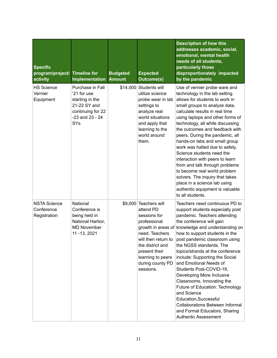| <b>Specific</b><br>program/project/<br>activity   | <b>Timeline for</b><br>Implementation                                                                                 | <b>Budgeted</b><br><b>Amount</b> | <b>Expected</b><br><b>Outcome(s)</b>                                                                                                                                                                   | <b>Description of how this</b><br>addresses academic, social,<br>emotional, mental health<br>needs of all students,<br>particularly those<br>disproportionately impacted<br>by the pandemic                                                                                                                                                                                                                                                                                                                                                                                                                                                                  |
|---------------------------------------------------|-----------------------------------------------------------------------------------------------------------------------|----------------------------------|--------------------------------------------------------------------------------------------------------------------------------------------------------------------------------------------------------|--------------------------------------------------------------------------------------------------------------------------------------------------------------------------------------------------------------------------------------------------------------------------------------------------------------------------------------------------------------------------------------------------------------------------------------------------------------------------------------------------------------------------------------------------------------------------------------------------------------------------------------------------------------|
| <b>HS Science</b><br>Vernier<br>Equipment         | Purchase in Fall<br>'21 for use<br>starting in the<br>21-22 SY and<br>continuing for 22<br>$-23$ and $23 - 24$<br>SYs |                                  | \$14,000 Students will<br>utilize science<br>probe wear in lab<br>settings to<br>analyze real<br>world situations<br>and apply that<br>learning to the<br>world around<br>them.                        | Use of vernier probe ware and<br>technology in the lab setting<br>allows for students to work in<br>small groups to analyze data,<br>calculate results in real time<br>using laptops and other forms of<br>technology, all while discussing<br>the outcomes and feedback with<br>peers. During the pandemic, all<br>hands-on labs and small group<br>work was halted due to safety.<br>Science students need the<br>interaction with peers to learn<br>from and talk through problems<br>to become real world problem<br>solvers. The inquiry that takes<br>place in a science lab using<br>authentic equipment is valuable<br>to all students.              |
| <b>NSTA Science</b><br>Conference<br>Registration | National<br>Conference is<br>being held in<br>National Harbor,<br><b>MD November</b><br>11 - 13, 2021                 |                                  | \$9,000 Teachers will<br>attend PD<br>sessions for<br>professional<br>need. Teachers<br>will then return to<br>the district and<br>present their<br>learning to peers<br>during county PD<br>sessions. | Teachers need continuous PD to<br>support students especially post<br>pandemic. Teachers attending<br>the conference will gain<br>growth in areas of knowledge and understanding on<br>how to support students in the<br>post pandemic classroom using<br>the NGSS standards. The<br>topics/strands at the conference<br>include: Supporting the Social<br>and Emotional Needs of<br>Students Post-COVID-19,<br>Developing More Inclusive<br>Classrooms, Innovating the<br>Future of Education: Technology<br>and Science<br>Education, Successful<br><b>Collaborations Between Informal</b><br>and Formal Educators, Sharing<br><b>Authentic Assessment</b> |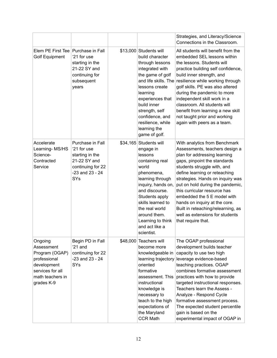|                                                                                                                              |                                                                                                                       |                                                                                                                                                                                                                                                                                         | Strategies, and Literacy/Science<br>Connections in the Classroom.                                                                                                                                                                                                                                                                                                                                                                                                      |
|------------------------------------------------------------------------------------------------------------------------------|-----------------------------------------------------------------------------------------------------------------------|-----------------------------------------------------------------------------------------------------------------------------------------------------------------------------------------------------------------------------------------------------------------------------------------|------------------------------------------------------------------------------------------------------------------------------------------------------------------------------------------------------------------------------------------------------------------------------------------------------------------------------------------------------------------------------------------------------------------------------------------------------------------------|
| Elem PE First Tee   Purchase in Fall<br><b>Golf Equipment</b>                                                                | '21 for use<br>starting in the<br>21-22 SY and<br>continuing for<br>subsequent<br>years                               | \$13,000 Students will<br>build character<br>through lessons<br>integrated with<br>the game of golf<br>and life skills. The<br>lessons create<br>learning<br>experiences that<br>build inner<br>strength, self<br>confidence, and<br>resilience, while<br>learning the<br>game of golf. | All students will benefit from the<br>embedded SEL lessons within<br>the lessons. Students will<br>practice building self confidence,<br>build inner strength, and<br>resilience while working through<br>golf skills. PE was also altered<br>during the pandemic to more<br>independent skill work in a<br>classroom. All students will<br>benefit from learning a new skill<br>not taught prior and working<br>again with peers as a team.                           |
| Accelerate<br>Learning-MS/HS<br>Science-<br>Contracted<br>Service                                                            | Purchase in Fall<br>'21 for use<br>starting in the<br>21-22 SY and<br>continuing for 22<br>$-23$ and $23 - 24$<br>SYs | \$34,165 Students will<br>engage in<br>lessons<br>containing real<br>world<br>phenomena,<br>learning through<br>inquiry, hands on,<br>and discourse.<br>Students apply<br>skills learned to<br>the real world<br>around them.<br>Learning to think<br>and act like a<br>scientist.      | With analytics from Benchmark<br>Assessments, teachers design a<br>plan for addressing learning<br>gaps, pinpoint the standards<br>students struggle with, and<br>define learning or reteaching<br>strategies. Hands on inquiry was<br>put on hold during the pandemic,<br>this curricular resource has<br>embedded the 5 E model with<br>hands on inquiry at the core.<br>Built in reteaching/relearning, as<br>well as extensions for students<br>that require that. |
| Ongoing<br>Assessment<br>Program (OGAP)<br>professional<br>development<br>services for all<br>math teachers in<br>grades K-9 | Begin PD in Fall<br>$21$ and<br>continuing for 22<br>$-23$ and $23 - 24$<br>SYs                                       | \$48,000 Teachers will<br>become more<br>knowledgeable in<br>learning trajectory<br>oriented<br>formative<br>assessment. This<br>instructional<br>knowledge is<br>necessary to<br>teach to the high<br>expectations of<br>the Maryland<br><b>CCR Math</b>                               | The OGAP professional<br>development builds teacher<br>capacity to use two high<br>leverage evidence-based<br>teaching practices. OGAP<br>combines formative assessment<br>practices with how to provide<br>targeted instructional responses.<br>Teachers learn the Assess -<br>Analyze - Respond Cycle<br>formative assessment process.<br>The expected student percentile<br>gain is based on the<br>experimental impact of OGAP in                                  |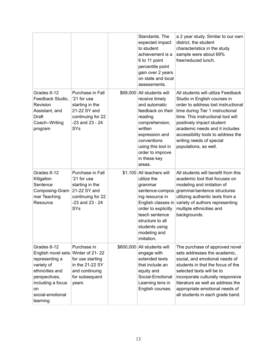|                                                                                                                                                                  |                                                                                                                              | Standards. The<br>expected impact<br>to student<br>achievement is a<br>6 to 11 point<br>percentile point<br>gain over 2 years<br>on state and local<br>assessments.                                                             | a 2 year study. Similar to our own<br>district, the student<br>characteristics in the study<br>sample were about 69%<br>free/reduced lunch.                                                                                                                                                                                                   |
|------------------------------------------------------------------------------------------------------------------------------------------------------------------|------------------------------------------------------------------------------------------------------------------------------|---------------------------------------------------------------------------------------------------------------------------------------------------------------------------------------------------------------------------------|-----------------------------------------------------------------------------------------------------------------------------------------------------------------------------------------------------------------------------------------------------------------------------------------------------------------------------------------------|
| Grades 6-12<br>Feedback Studio,<br>Revision<br>Assistant, and<br><b>Draft</b><br>Coach--Writing<br>program                                                       | Purchase in Fall<br>'21 for use<br>starting in the<br>21-22 SY and<br>continuing for 22<br>$-23$ and $23 - 24$<br><b>SYs</b> | \$69,000 All students will<br>receive timely<br>and automatic<br>feedback on their<br>reading<br>comprehension,<br>written<br>expression and<br>conventions<br>using this tool in<br>order to improve<br>in these key<br>areas. | All students will utilize Feedback<br>Studio in English courses in<br>order to address lost instructional<br>time during Tier 1 instructional<br>time. This instructional tool will<br>positively impact student<br>academic needs and it includes<br>accessibility tools to address the<br>writing needs of special<br>populations, as well. |
| Grades 6-12<br>Killgallon<br>Sentence<br>Composing-Gram<br>mar Teaching<br>Resource                                                                              | Purchase in Fall<br>'21 for use<br>starting in the<br>21-22 SY and<br>continuing for 22<br>$-23$ and $23 - 24$<br><b>SYs</b> | \$1,100 All teachers will<br>utilize the<br>grammar<br>sentence-compos<br>ing resource in<br>order to explicitly<br>teach sentence<br>structure to all<br>students using<br>modeling and<br>imitation.                          | All students will benefit from this<br>academic tool that focuses on<br>modeling and imitation of<br>grammar/sentence structures<br>utilizing authentic texts from a<br>English classes in variety of authors representing<br>multiple ethnicities and<br>backgrounds.                                                                        |
| Grades 6-12<br>English novel sets<br>representing a<br>variety of<br>ethnicities and<br>perspectives,<br>including a focus<br>on<br>social-emotional<br>learning | Purchase in<br>Winter of 21-22<br>for use starting<br>in the 21-22 SY<br>and continuing<br>for subsequent<br>years           | \$600,000 All students will<br>engage with<br>extended texts<br>that include an<br>equity and<br>Social-Emotional<br>Learning lens in<br>English courses.                                                                       | The purchase of approved novel<br>sets addresses the academic,<br>social, and emotional needs of<br>students in that the focus of the<br>selected texts will be to<br>incorporate culturally responsive<br>literature as well as address the<br>appropriate emotional needs of<br>all students in each grade band.                            |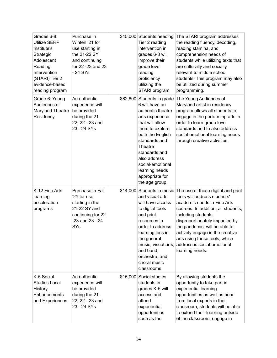| Grades 6-8:<br><b>Utilize SERP</b><br>Institute's<br>Strategic<br>Adolescent<br>Reading<br>Intervention<br>(STARI) Tier 2<br>evidence-based<br>reading program | Purchase in<br>Winterl '21 for<br>use starting in<br>the 21-22 SY<br>and continuing<br>for 22 -23 and 23<br>- 24 SYs  | \$45,000 Students needing<br>Tier 2 reading<br>intervention in<br>grades 6-8 will<br>improve their<br>grade level<br>reading<br>proficiency<br>utilizing the<br>STARI program                                                                                                          | The STARI program addresses<br>the reading fluency, decoding,<br>reading stamina, and<br>comprehension needs of<br>students while utilizing texts that<br>are culturally and socially<br>relevant to middle school<br>students. This program may also<br>be utilized during summer<br>programming.                                                     |
|----------------------------------------------------------------------------------------------------------------------------------------------------------------|-----------------------------------------------------------------------------------------------------------------------|----------------------------------------------------------------------------------------------------------------------------------------------------------------------------------------------------------------------------------------------------------------------------------------|--------------------------------------------------------------------------------------------------------------------------------------------------------------------------------------------------------------------------------------------------------------------------------------------------------------------------------------------------------|
| Grade 6: Young<br>Audiences of<br>Maryland Theatre<br>Residency                                                                                                | An authentic<br>experience will<br>be provided<br>during the 21 -<br>22, 22 - 23 and<br>23 - 24 SYs                   | \$82,800 Students in grade<br>6 will have an<br>authentic theatre<br>arts experience<br>that will allow<br>them to explore<br>both the English<br>standards and<br>Theatre<br>standards and<br>also address<br>social-emotional<br>learning needs<br>appropriate for<br>the age group. | The Young Audiences of<br>Maryland artist in residency<br>program allows all students to<br>engage in the performing arts in<br>order to learn grade level<br>standards and to also address<br>social-emotional learning needs<br>through creative activities.                                                                                         |
| K-12 Fine Arts<br>learning<br>acceleration<br>programs                                                                                                         | Purchase in Fall<br>'21 for use<br>starting in the<br>21-22 SY and<br>continuing for 22<br>$-23$ and $23 - 24$<br>SYs | \$14,000 Students in music<br>and visual arts<br>will have access<br>to digital tools<br>and print<br>resources in<br>order to address<br>learning loss in<br>the general<br>music, visual arts,<br>and band,<br>orchestra, and<br>choral music<br>classrooms.                         | The use of these digital and print<br>tools will address students'<br>academic needs in Fine Arts<br>courses. In addition, all students,<br>including students<br>disproportionately impacted by<br>the pandemic, will be able to<br>actively engage in the creative<br>arts using these tools, which<br>addresses social-emotional<br>learning needs. |
| K-5 Social<br><b>Studies Local</b><br>History<br>Enhancements<br>and Experiences                                                                               | An authentic<br>experience will<br>be provided<br>during the 21 -<br>22, 22 - 23 and<br>23 - 24 SYs                   | \$15,000 Social studies<br>students in<br>grades K-5 will<br>access and<br>attend<br>experiential<br>opportunities<br>such as the                                                                                                                                                      | By allowing students the<br>opportunity to take part in<br>experiential learning<br>opportunities as well as hear<br>from local experts in their<br>classroom, students will be able<br>to extend their learning outside<br>of the classroom, engage in                                                                                                |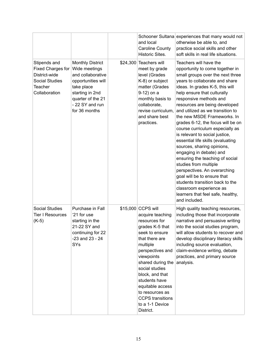|                                                                                                                       |                                                                                                                                                                               | and local<br><b>Caroline County</b><br>Historic Sites.                                                                                                                                                                                                                                                                                    | Schooner Sultana experiences that many would not<br>otherwise be able to, and<br>practice social skills and other<br>soft skills in real life situations.                                                                                                                                                                                                                                                                                                                                                                                                                                                                                                                                                                                                                              |
|-----------------------------------------------------------------------------------------------------------------------|-------------------------------------------------------------------------------------------------------------------------------------------------------------------------------|-------------------------------------------------------------------------------------------------------------------------------------------------------------------------------------------------------------------------------------------------------------------------------------------------------------------------------------------|----------------------------------------------------------------------------------------------------------------------------------------------------------------------------------------------------------------------------------------------------------------------------------------------------------------------------------------------------------------------------------------------------------------------------------------------------------------------------------------------------------------------------------------------------------------------------------------------------------------------------------------------------------------------------------------------------------------------------------------------------------------------------------------|
| Stipends and<br><b>Fixed Charges for</b><br>District-wide<br><b>Social Studies</b><br><b>Teacher</b><br>Collaboration | <b>Monthly District</b><br>Wide meetings<br>and collaborative<br>opportunities will<br>take place<br>starting in 2nd<br>quarter of the 21<br>- 22 SY and run<br>for 36 months | \$24,300 Teachers will<br>meet by grade<br>level (Grades<br>K-8) or subject<br>matter (Grades<br>9-12) on a<br>monthly basis to<br>collaborate,<br>revise curriculum,<br>and share best<br>practices.                                                                                                                                     | Teachers will have the<br>opportunity to come together in<br>small groups over the next three<br>years to collaborate and share<br>ideas. In grades K-5, this will<br>help ensure that culturally<br>responsive methods and<br>resources are being developed<br>and utilized as we transition to<br>the new MSDE Frameworks. In<br>grades 6-12, the focus will be on<br>course curriculum especially as<br>is relevant to social justice,<br>essential life skills (evaluating<br>sources, sharing opinions,<br>engaging in debate) and<br>ensuring the teaching of social<br>studies from multiple<br>perspectives. An overarching<br>goal will be to ensure that<br>students transition back to the<br>classroom experience as<br>learners that feel safe, healthy,<br>and included. |
| <b>Social Studies</b><br><b>Tier I Resources</b><br>$(K-5)$                                                           | Purchase in Fall<br>'21 for use<br>starting in the<br>21-22 SY and<br>continuing for 22<br>$-23$ and $23 - 24$<br><b>SYs</b>                                                  | \$15,000 CCPS will<br>acquire teaching<br>resources for<br>grades K-5 that<br>seek to ensure<br>that there are<br>multiple<br>perspectives and<br>viewpoints<br>shared during the<br>social studies<br>block, and that<br>students have<br>equitable access<br>to resources as<br><b>CCPS</b> transitions<br>to a 1-1 Device<br>District. | High quality teaching resources,<br>including those that incorporate<br>narrative and persuasive writing<br>into the social studies program,<br>will allow students to recover and<br>develop disciplinary literacy skills<br>including source evaluation,<br>claim-evidence writing, debate<br>practices, and primary source<br>analysis.                                                                                                                                                                                                                                                                                                                                                                                                                                             |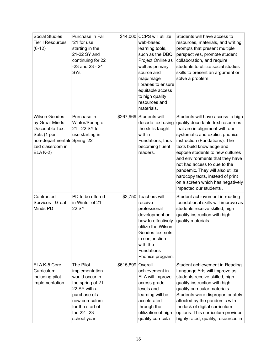| <b>Social Studies</b><br>Tier I Resources<br>$(6-12)$                                                                                     | Purchase in Fall<br>'21 for use<br>starting in the<br>21-22 SY and<br>continuing for 22<br>$-23$ and $23 - 24$<br>SYs                                                    |                   | \$44,000 CCPS will utilize<br>web-based<br>learning tools,<br>such as the DBQ<br>Project Online as<br>well as primary<br>source and<br>map/image<br>libraries to ensure<br>equitable access<br>to high quality<br>resources and<br>materials. | Students will have access to<br>resources, materials, and writing<br>prompts that present multiple<br>perspectives, promote student<br>collaboration, and require<br>students to utilize social studies<br>skills to present an argument or<br>solve a problem.                                                                                                                                                                                      |
|-------------------------------------------------------------------------------------------------------------------------------------------|--------------------------------------------------------------------------------------------------------------------------------------------------------------------------|-------------------|-----------------------------------------------------------------------------------------------------------------------------------------------------------------------------------------------------------------------------------------------|------------------------------------------------------------------------------------------------------------------------------------------------------------------------------------------------------------------------------------------------------------------------------------------------------------------------------------------------------------------------------------------------------------------------------------------------------|
| <b>Wilson Geodes</b><br>by Great Minds<br>Decodable Text<br>Sets (1 per<br>non-departmentali Spring '22<br>zed classroom in<br>$ELA K-2)$ | Purchase in<br>Winter/Spring of<br>21 - 22 SY for<br>use starting in                                                                                                     |                   | \$267,969 Students will<br>decode text using<br>the skills taught<br>within<br>Fundations, thus<br>becoming fluent<br>readers.                                                                                                                | Students will have access to high<br>quality decodable text resources<br>that are in alignment with our<br>systematic and explicit phonics<br>instruction (Fundations). The<br>texts build knowledge and<br>expose students to new cultures<br>and environments that they have<br>not had access to due to the<br>pandemic. They will also utilize<br>hardcopy texts, instead of print<br>on a screen which has negatively<br>impacted our students. |
| Contracted<br>Services - Great<br>Minds PD                                                                                                | PD to be offered<br>in Winter of 21 -<br>22 SY                                                                                                                           |                   | \$3,750 Teachers will<br>receive<br>professional<br>development on<br>how to effectively<br>utilize the Wilson<br>Geodes text sets<br>in conjunction<br>with the<br><b>Fundations</b><br>Phonics program.                                     | Student achievement in reading<br>foundational skills will improve as<br>students receive skilled, high<br>quality instruction with high<br>quality materials.                                                                                                                                                                                                                                                                                       |
| ELA K-5 Core<br>Curriculum,<br>including pilot<br>implementation                                                                          | The Pilot<br>implementation<br>would occur in<br>the spring of 21 -<br>22 SY with a<br>purchase of a<br>new curriculum<br>for the start of<br>the 22 - 23<br>school year | \$615,899 Overall | achievement in<br>ELA will improve<br>across grade<br>levels and<br>learning will be<br>accelerated<br>through the<br>utilization of high<br>quality curricula                                                                                | Student achievement in Reading<br>Language Arts will improve as<br>students receive skilled, high<br>quality instruction with high<br>quality curricular materials.<br>Students were disproportionately<br>affected by the pandemic with<br>the lack of digital curriculum<br>options. This curriculum provides<br>highly rated, quality, resources in                                                                                               |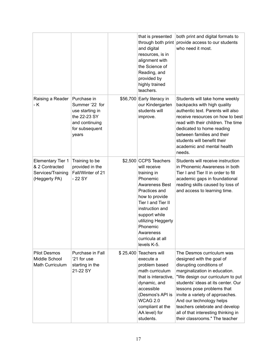|                                                                                  |                                                                                                               |          | that is presented<br>through both print<br>and digital<br>resources, is in<br>alignment with<br>the Science of<br>Reading, and<br>provided by<br>highly trained<br>teachers.                                                                                      | both print and digital formats to<br>provide access to our students<br>who need it most.                                                                                                                                                                                                                                                                                                              |
|----------------------------------------------------------------------------------|---------------------------------------------------------------------------------------------------------------|----------|-------------------------------------------------------------------------------------------------------------------------------------------------------------------------------------------------------------------------------------------------------------------|-------------------------------------------------------------------------------------------------------------------------------------------------------------------------------------------------------------------------------------------------------------------------------------------------------------------------------------------------------------------------------------------------------|
| Raising a Reader<br>- K                                                          | Purchase in<br>Summer '22 for<br>use starting in<br>the 22-23 SY<br>and continuing<br>for subsequent<br>years |          | \$56,700 Early literacy in<br>our Kindergarten<br>students will<br>improve.                                                                                                                                                                                       | Students will take home weekly<br>backpacks with high quality<br>authentic text. Parents will also<br>receive resources on how to best<br>read with their children. The time<br>dedicated to home reading<br>between families and their<br>students will benefit their<br>academic and mental health<br>needs.                                                                                        |
| <b>Elementary Tier 1</b><br>& 2 Contracted<br>Services/Training<br>(Heggerty PA) | Training to be<br>provided in the<br>Fall/Winter of 21<br>$-22$ SY                                            |          | \$2,500 CCPS Teachers<br>will receive<br>training in<br>Phonemic<br>Awareness Best<br>Practices and<br>how to provide<br>Tier I and Tier II<br>instruction and<br>support while<br>utilizing Heggerty<br>Phonemic<br>Awareness<br>curricula at all<br>levels K-5. | Students will receive instruction<br>in Phonemic Awareness in both<br>Tier I and Tier II in order to fill<br>academic gaps in foundational<br>reading skills caused by loss of<br>and access to learning time.                                                                                                                                                                                        |
| <b>Pilot Desmos</b><br>Middle School<br>Math Curriculum                          | Purchase in Fall<br>'21 for use<br>starting in the<br>21-22 SY                                                | \$25,400 | Teachers will<br>execute a<br>problem based<br>math curriculum<br>that is interactive.<br>dynamic, and<br>accessible<br>(Desmos's API is<br>WCAG 2.0<br>compliant at the<br>AA level) for<br>students.                                                            | The Desmos curriculum was<br>designed with the goal of<br>disrupting conditions of<br>marginalization in education.<br>"We design our curriculum to put<br>students' ideas at its center. Our<br>lessons pose problems that<br>invite a variety of approaches.<br>And our technology helps<br>teachers celebrate and develop<br>all of that interesting thinking in<br>their classrooms." The teacher |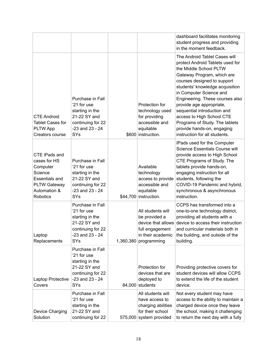|                                                                                                                                  |                                                                                                                              |                                                                                                          | dashboard facilitates monitoring<br>student progress and providing<br>in the moment feedback.                                                                                                                                                                                                                                                                                                                                                      |
|----------------------------------------------------------------------------------------------------------------------------------|------------------------------------------------------------------------------------------------------------------------------|----------------------------------------------------------------------------------------------------------|----------------------------------------------------------------------------------------------------------------------------------------------------------------------------------------------------------------------------------------------------------------------------------------------------------------------------------------------------------------------------------------------------------------------------------------------------|
| <b>CTE Android</b><br><b>Tablet Cases for</b><br><b>PLTW App</b><br>Creators course                                              | Purchase in Fall<br>'21 for use<br>starting in the<br>21-22 SY and<br>continuing for 22<br>$-23$ and $23 - 24$<br><b>SYs</b> | Protection for<br>technology used<br>for providing<br>accessible and<br>equitable<br>\$600 instruction.  | The Android Tablet Cases will<br>protect Android Tablets used for<br>the Middle School PLTW<br>Gateway Program, which are<br>courses designed to support<br>students' knowledge acquisition<br>in Computer Science and<br>Engineering. These courses also<br>provide age appropriate,<br>sequential introduction and<br>access to High School CTE<br>Programs of Study. The tablets<br>provide hands-on, engaging<br>instruction for all students. |
| CTE iPads and<br>cases for HS<br>Computer<br>Science<br><b>Essentials and</b><br><b>PLTW Gateway</b><br>Automation &<br>Robotics | Purchase in Fall<br>'21 for use<br>starting in the<br>21-22 SY and<br>continuing for 22<br>$-23$ and $23 - 24$<br><b>SYs</b> | Available<br>technology<br>access to provide<br>accessible and<br>equitable<br>\$44,700 instruction.     | IPads used for the Computer<br>Science Essentials Course will<br>provide access to High School<br>CTE Programs of Study. The<br>tablets provide hands-on,<br>engaging instruction for all<br>students, following the<br>COVID-19 Pandemic and hybrid,<br>synchronous & asynchronous<br>instruction.                                                                                                                                                |
| Laptop<br>Replacements                                                                                                           | Purchase in Fall<br>'21 for use<br>starting in the<br>21-22 SY and<br>continuing for 22<br>$-23$ and $23 - 24$<br><b>SYs</b> | All students will<br>be provided a<br>full engagement<br>in their academic<br>$1,360,380$ programming    | CCPS has transformed into a<br>one-to-one technology district,<br>providing all students with a<br>device that allows device to access their instruction<br>and curricular materials both in<br>the building, and outside of the<br>building.                                                                                                                                                                                                      |
| Laptop Protective<br>Covers                                                                                                      | Purchase in Fall<br>'21 for use<br>starting in the<br>21-22 SY and<br>continuing for 22<br>$-23$ and $23 - 24$<br>SYs        | Protection for<br>devices that are<br>deployed to<br>84,000 students                                     | Providing protective covers for<br>student devices will allow CCPS<br>to extend the life of the student<br>device.                                                                                                                                                                                                                                                                                                                                 |
| Device Charging<br>Solution                                                                                                      | Purchase in Fall<br>'21 for use<br>starting in the<br>21-22 SY and<br>continuing for 22                                      | All students will<br>have access to<br>charging abilities<br>for their school<br>575,000 system provided | Not every student may have<br>access to the ability to maintain a<br>charged device once they leave<br>the school, making it challenging<br>to return the next day with a fully                                                                                                                                                                                                                                                                    |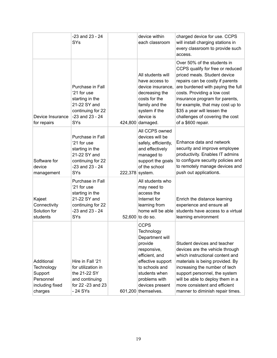|                                                                                | $-23$ and $23 - 24$<br>SYs                                                                                                   |                 | device within<br>each classroom                                                                                                                                                                             | charged device for use. CCPS<br>will install charging stations in<br>every classroom to provide such<br>access.                                                                                                                                                                                                                                                       |
|--------------------------------------------------------------------------------|------------------------------------------------------------------------------------------------------------------------------|-----------------|-------------------------------------------------------------------------------------------------------------------------------------------------------------------------------------------------------------|-----------------------------------------------------------------------------------------------------------------------------------------------------------------------------------------------------------------------------------------------------------------------------------------------------------------------------------------------------------------------|
| Device Insurance<br>for repairs                                                | Purchase in Fall<br>'21 for use<br>starting in the<br>21-22 SY and<br>continuing for 22<br>$-23$ and $23 - 24$<br>SYs        |                 | All students will<br>have access to<br>device insurance,<br>decreasing the<br>costs for the<br>family and the<br>system if the<br>device is<br>424,800 damaged.                                             | Over 50% of the students in<br>CCPS qualify for free or reduced<br>priced meals. Student device<br>repairs can be costly if parents<br>are burdened with paying the full<br>costs. Providing a low cost<br>insurance program for parents,<br>for example, that may cost up to<br>\$35 a year will lessen the<br>challenges of covering the cost<br>of a \$600 repair. |
| Software for<br>device<br>management                                           | Purchase in Fall<br>'21 for use<br>starting in the<br>21-22 SY and<br>continuing for 22<br>$-23$ and $23 - 24$<br>SYs        | 222,378 system. | All CCPS owned<br>devices will be<br>safely, efficiently,<br>and effectively<br>managed to<br>support the goals<br>of the school                                                                            | Enhance data and network<br>security and improve employee<br>productivity. Enables IT admins<br>to configure security policies and<br>to remotely manage devices and<br>push out applications.                                                                                                                                                                        |
| Kajeet<br>Connectivity<br>Solution for<br>students                             | Purchase in Fall<br>'21 for use<br>starting in the<br>21-22 SY and<br>continuing for 22<br>$-23$ and $23 - 24$<br><b>SYs</b> |                 | All students who<br>may need to<br>access the<br>Internet for<br>learning from<br>home will be able<br>52,600 to do so.                                                                                     | Enrich the distance learning<br>experience and ensure all<br>students have access to a virtual<br>learning environment                                                                                                                                                                                                                                                |
| Additional<br>Technology<br>Support<br>Personnel<br>including fixed<br>charges | Hire in Fall '21<br>for utilization in<br>the 21-22 SY<br>and continuing<br>for 22 -23 and 23<br>- 24 SYs                    |                 | <b>CCPS</b><br>Technology<br>Department will<br>provide<br>responsive,<br>efficient, and<br>effective support<br>to schools and<br>students when<br>problems with<br>devices present<br>601,200 themselves. | Student devices and teacher<br>devices are the vehicle through<br>which instructional content and<br>materials is being provided. By<br>increasing the number of tech<br>support personnel, the system<br>will be able to deploy them in a<br>more consistent and efficient<br>manner to diminish repair times.                                                       |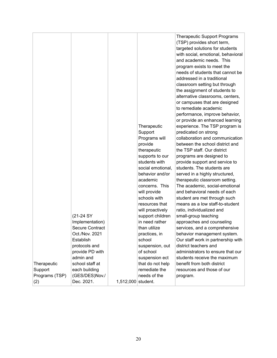|                |                        |                    |                                | <b>Therapeutic Support Programs</b><br>(TSP) provides short term,<br>targeted solutions for students<br>with social, emotional, behavioral<br>and academic needs. This<br>program exists to meet the<br>needs of students that cannot be<br>addressed in a traditional<br>classroom setting but through |
|----------------|------------------------|--------------------|--------------------------------|---------------------------------------------------------------------------------------------------------------------------------------------------------------------------------------------------------------------------------------------------------------------------------------------------------|
|                |                        |                    |                                | the assignment of students to<br>alternative classrooms, centers,<br>or campuses that are designed<br>to remediate academic                                                                                                                                                                             |
|                |                        |                    | Therapeutic                    | performance, improve behavior,<br>or provide an enhanced learning<br>experience. The TSP program is                                                                                                                                                                                                     |
|                |                        |                    | Support<br>Programs will       | predicated on strong<br>collaboration and communication                                                                                                                                                                                                                                                 |
|                |                        |                    | provide                        | between the school district and<br>the TSP staff. Our district                                                                                                                                                                                                                                          |
|                |                        |                    | therapeutic<br>supports to our | programs are designed to                                                                                                                                                                                                                                                                                |
|                |                        |                    | students with                  | provide support and service to                                                                                                                                                                                                                                                                          |
|                |                        |                    | social emotional,              | students. The students are                                                                                                                                                                                                                                                                              |
|                |                        |                    | behavior and/or                | served in a highly structured,                                                                                                                                                                                                                                                                          |
|                |                        |                    | academic                       | therapeutic classroom setting.                                                                                                                                                                                                                                                                          |
|                |                        |                    | concerns. This                 | The academic, social-emotional                                                                                                                                                                                                                                                                          |
|                |                        |                    | will provide                   | and behavioral needs of each                                                                                                                                                                                                                                                                            |
|                |                        |                    | schools with                   | student are met through such                                                                                                                                                                                                                                                                            |
|                |                        |                    | resources that                 | means as a low staff-to-student                                                                                                                                                                                                                                                                         |
|                |                        |                    | will proactively               | ratio, individualized and                                                                                                                                                                                                                                                                               |
|                | (21-24 SY              |                    | support children               | small-group teaching                                                                                                                                                                                                                                                                                    |
|                | Implementation)        |                    | in need rather                 | approaches and counseling                                                                                                                                                                                                                                                                               |
|                | <b>Secure Contract</b> |                    | than utilize                   | services, and a comprehensive                                                                                                                                                                                                                                                                           |
|                | Oct./Nov. 2021         |                    | practices, in                  | behavior management system.                                                                                                                                                                                                                                                                             |
|                | Establish              |                    | school                         | Our staff work in partnership with                                                                                                                                                                                                                                                                      |
|                | protocols and          |                    | suspension, out                | district teachers and                                                                                                                                                                                                                                                                                   |
|                | provide PD with        |                    | of school                      | administrators to ensure that our                                                                                                                                                                                                                                                                       |
|                | admin and              |                    | suspension ect                 | students receive the maximum                                                                                                                                                                                                                                                                            |
| Therapeutic    | school staff at        |                    | that do not help               | benefit from both district                                                                                                                                                                                                                                                                              |
| Support        | each building          |                    | remediate the                  | resources and those of our                                                                                                                                                                                                                                                                              |
| Programs (TSP) | (GES/DES)Nov./         |                    | needs of the                   | program.                                                                                                                                                                                                                                                                                                |
| (2)            | Dec. 2021.             | 1,512,000 student. |                                |                                                                                                                                                                                                                                                                                                         |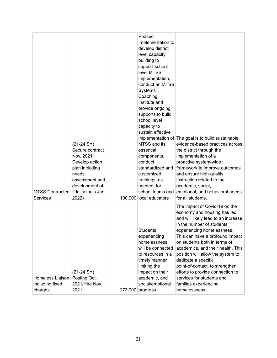| <b>MTSS Contracted</b><br>Services             | $(21-24 SY)$<br>Secure contract<br>Nov. 2021.<br>Develop action<br>plan including<br>needs<br>assessment and<br>development of<br>fidelity tools Jan.<br>2022) |         | Phased<br>Implementation to<br>develop district<br>level capacity<br>building to<br>support school<br>level MTSS<br>implementation,<br>conduct an MTSS<br>Systems<br>Coaching<br>Institute and<br>provide ongoing<br>supports to build<br>school level<br>capacity to<br>sustain effective<br>MTSS and its<br>essential<br>components,<br>conduct<br>standardized and<br>customized<br>trainings, as<br>needed, for<br>school teams and<br>100,000 local educators | implementation of The goal is to build sustainable,<br>evidence-based practices across<br>the district through the<br>implementation of a<br>proactive system-wide<br>framework to improve outcomes<br>and ensure high-quality<br>instruction related to the<br>academic, social,<br>emotional, and behavioral needs<br>for all students.                                                                                                                                         |
|------------------------------------------------|----------------------------------------------------------------------------------------------------------------------------------------------------------------|---------|--------------------------------------------------------------------------------------------------------------------------------------------------------------------------------------------------------------------------------------------------------------------------------------------------------------------------------------------------------------------------------------------------------------------------------------------------------------------|-----------------------------------------------------------------------------------------------------------------------------------------------------------------------------------------------------------------------------------------------------------------------------------------------------------------------------------------------------------------------------------------------------------------------------------------------------------------------------------|
| Homeless Liaison<br>including fixed<br>charges | $(21-24 SY)$<br>Posting Oct.<br>2021/Hire Nov.<br>2021                                                                                                         | 273,000 | <b>Students</b><br>experiencing<br>homelessness<br>will be connected<br>to resources in a<br>timely manner,<br>limiting the<br>impact on their<br>academic, and<br>social/emotional<br>progress.                                                                                                                                                                                                                                                                   | The impact of Covid-19 on the<br>economy and housing has led,<br>and will likely lead to an increase<br>in the number of students<br>experiencing homelessness.<br>This can have a profound impact<br>on students both in terms of<br>academics, and their health. This<br>position will allow the system to<br>dedicate a specific<br>point-of-contact, to strengthen<br>efforts to provide connection to<br>services for students and<br>families experiencing<br>homelessness. |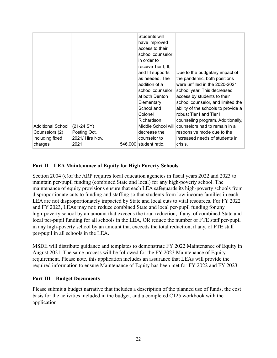| including fixed<br>charges | 2021/ Hire Nov.<br>2021 | counselor to<br>546,000 student ratio. | increased needs of students in<br>crisis.        |
|----------------------------|-------------------------|----------------------------------------|--------------------------------------------------|
| Counselors (2)             | Posting Oct,            | decrease the                           | responsive mode due to the                       |
| Additional School          | $(21-24 SY)$            |                                        | Middle School will counselors had to remain in a |
|                            |                         | Richardson                             | counseling program. Additionally,                |
|                            |                         | Colonel                                | robust Tier I and Tier II                        |
|                            |                         | School and                             | ability of the schools to provide a              |
|                            |                         | Elementary                             | school counselor, and limited the                |
|                            |                         | at both Denton                         | access by students to their                      |
|                            |                         | school counselor                       | school year. This decreased                      |
|                            |                         | addition of a                          | were unfilled in the 2020-2021                   |
|                            |                         | as needed. The                         | the pandemic, both positions                     |
|                            |                         | and III supports                       | Due to the budgetary impact of                   |
|                            |                         | receive Tier I, II,                    |                                                  |
|                            |                         | in order to                            |                                                  |
|                            |                         | school counselor                       |                                                  |
|                            |                         | have improved<br>access to their       |                                                  |
|                            |                         | Students will                          |                                                  |

## **Part II – LEA Maintenance of Equity for High Poverty Schools**

Section 2004 (c)of the ARP requires local education agencies in fiscal years 2022 and 2023 to maintain per-pupil funding (combined State and local) for any high-poverty school. The maintenance of equity provisions ensure that each LEA safeguards its high-poverty schools from disproportionate cuts to funding and staffing so that students from low income families in each LEA are not disproportionately impacted by State and local cuts to vital resources. For FY 2022 and FY 2023, LEAs may not: reduce combined State and local per-pupil funding for any high-poverty school by an amount that exceeds the total reduction, if any, of combined State and local per-pupil funding for all schools in the LEA, OR reduce the number of FTE staff per-pupil in any high-poverty school by an amount that exceeds the total reduction, if any, of FTE staff per-pupil in all schools in the LEA.

MSDE will distribute guidance and templates to demonstrate FY 2022 Maintenance of Equity in August 2021. The same process will be followed for the FY 2023 Maintenance of Equity requirement. Please note, this application includes an assurance that LEAs will provide the required information to ensure Maintenance of Equity has been met for FY 2022 and FY 2023.

## **Part III – Budget Documents**

Please submit a budget narrative that includes a description of the planned use of funds, the cost basis for the activities included in the budget, and a completed C125 workbook with the application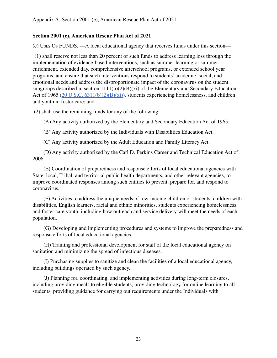## **Section 2001 (e), American Rescue Plan Act of 2021**

(e) USES O<sup>F</sup> FUNDS. —A local educational agency that receives funds under this section—

(1) shall reserve not less than 20 percent of such funds to address learning loss through the implementation of evidence-based interventions, such as summer learning or summer enrichment, extended day, comprehensive afterschool programs, or extended school year programs, and ensure that such interventions respond to students' academic, social, and emotional needs and address the disproportionate impact of the coronavirus on the student subgroups described in section  $1111(b)(2)(B)(xi)$  of the Elementary and Secondary Education Act of 1965 ( $20 \text{ U.S.C. } 6311(b)(2)(B)(xi)$ ), students experiencing homelessness, and children and youth in foster care; and

(2) shall use the remaining funds for any of the following:

(A) Any activity authorized by the Elementary and Secondary Education Act of 1965.

(B) Any activity authorized by the Individuals with Disabilities Education Act.

(C) Any activity authorized by the Adult Education and Family Literacy Act.

(D) Any activity authorized by the Carl D. Perkins Career and Technical Education Act of 2006.

(E) Coordination of preparedness and response efforts of local educational agencies with State, local, Tribal, and territorial public health departments, and other relevant agencies, to improve coordinated responses among such entities to prevent, prepare for, and respond to coronavirus.

(F) Activities to address the unique needs of low-income children or students, children with disabilities, English learners, racial and ethnic minorities, students experiencing homelessness, and foster care youth, including how outreach and service delivery will meet the needs of each population.

(G) Developing and implementing procedures and systems to improve the preparedness and response efforts of local educational agencies.

(H) Training and professional development for staff of the local educational agency on sanitation and minimizing the spread of infectious diseases.

(I) Purchasing supplies to sanitize and clean the facilities of a local educational agency, including buildings operated by such agency.

(J) Planning for, coordinating, and implementing activities during long-term closures, including providing meals to eligible students, providing technology for online learning to all students, providing guidance for carrying out requirements under the Individuals with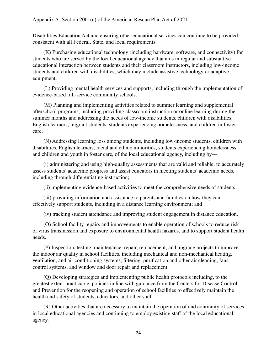Disabilities Education Act and ensuring other educational services can continue to be provided consistent with all Federal, State, and local requirements.

(K) Purchasing educational technology (including hardware, software, and connectivity) for students who are served by the local educational agency that aids in regular and substantive educational interaction between students and their classroom instructors, including low-income students and children with disabilities, which may include assistive technology or adaptive equipment.

(L) Providing mental health services and supports, including through the implementation of evidence-based full-service community schools.

(M) Planning and implementing activities related to summer learning and supplemental afterschool programs, including providing classroom instruction or online learning during the summer months and addressing the needs of low-income students, children with disabilities, English learners, migrant students, students experiencing homelessness, and children in foster care.

(N) Addressing learning loss among students, including low-income students, children with disabilities, English learners, racial and ethnic minorities, students experiencing homelessness, and children and youth in foster care, of the local educational agency, including by—

(i) administering and using high-quality assessments that are valid and reliable, to accurately assess students' academic progress and assist educators in meeting students' academic needs, including through differentiating instruction;

(ii) implementing evidence-based activities to meet the comprehensive needs of students;

(iii) providing information and assistance to parents and families on how they can effectively support students, including in a distance learning environment; and

(iv) tracking student attendance and improving student engagement in distance education.

(O) School facility repairs and improvements to enable operation of schools to reduce risk of virus transmission and exposure to environmental health hazards, and to support student health needs.

(P) Inspection, testing, maintenance, repair, replacement, and upgrade projects to improve the indoor air quality in school facilities, including mechanical and non-mechanical heating, ventilation, and air conditioning systems, filtering, purification and other air cleaning, fans, control systems, and window and door repair and replacement.

(Q) Developing strategies and implementing public health protocols including, to the greatest extent practicable, policies in line with guidance from the Centers for Disease Control and Prevention for the reopening and operation of school facilities to effectively maintain the health and safety of students, educators, and other staff.

(R) Other activities that are necessary to maintain the operation of and continuity of services in local educational agencies and continuing to employ existing staff of the local educational agency.